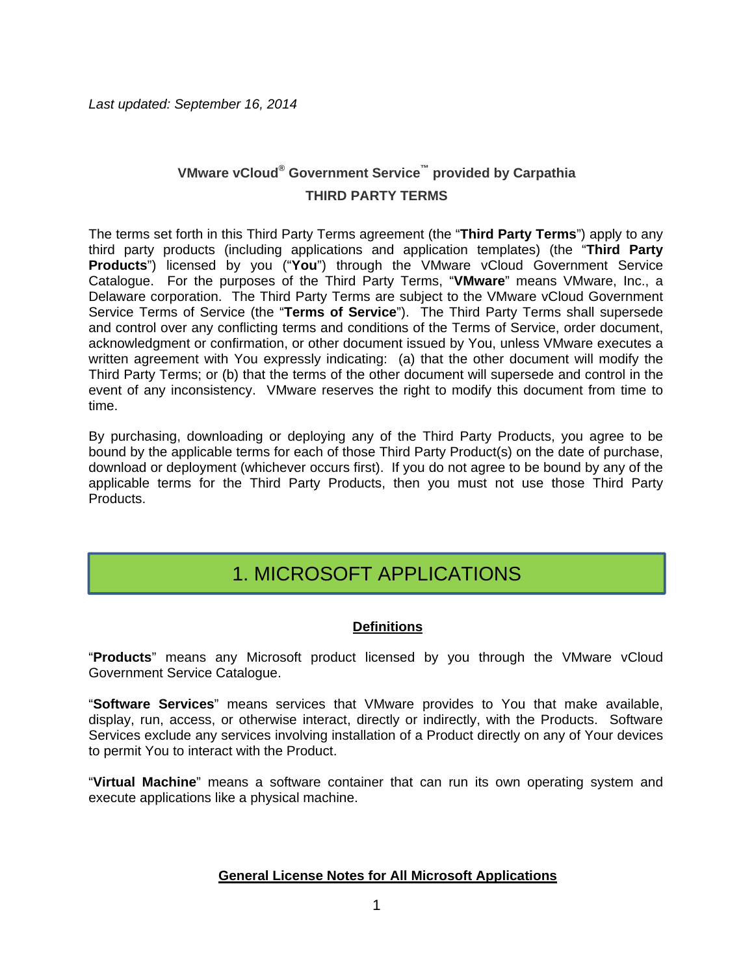## **VMware vCloud® Government Service™ provided by Carpathia THIRD PARTY TERMS**

The terms set forth in this Third Party Terms agreement (the "**Third Party Terms**") apply to any third party products (including applications and application templates) (the "**Third Party Products**") licensed by you ("**You**") through the VMware vCloud Government Service Catalogue. For the purposes of the Third Party Terms, "**VMware**" means VMware, Inc., a Delaware corporation. The Third Party Terms are subject to the VMware vCloud Government Service Terms of Service (the "**Terms of Service**"). The Third Party Terms shall supersede and control over any conflicting terms and conditions of the Terms of Service, order document, acknowledgment or confirmation, or other document issued by You, unless VMware executes a written agreement with You expressly indicating: (a) that the other document will modify the Third Party Terms; or (b) that the terms of the other document will supersede and control in the event of any inconsistency. VMware reserves the right to modify this document from time to time.

By purchasing, downloading or deploying any of the Third Party Products, you agree to be bound by the applicable terms for each of those Third Party Product(s) on the date of purchase, download or deployment (whichever occurs first). If you do not agree to be bound by any of the applicable terms for the Third Party Products, then you must not use those Third Party Products.

## 1. MICROSOFT APPLICATIONS

## **Definitions**

"**Products**" means any Microsoft product licensed by you through the VMware vCloud Government Service Catalogue.

"**Software Services**" means services that VMware provides to You that make available, display, run, access, or otherwise interact, directly or indirectly, with the Products. Software Services exclude any services involving installation of a Product directly on any of Your devices to permit You to interact with the Product.

"**Virtual Machine**" means a software container that can run its own operating system and execute applications like a physical machine.

## **General License Notes for All Microsoft Applications**